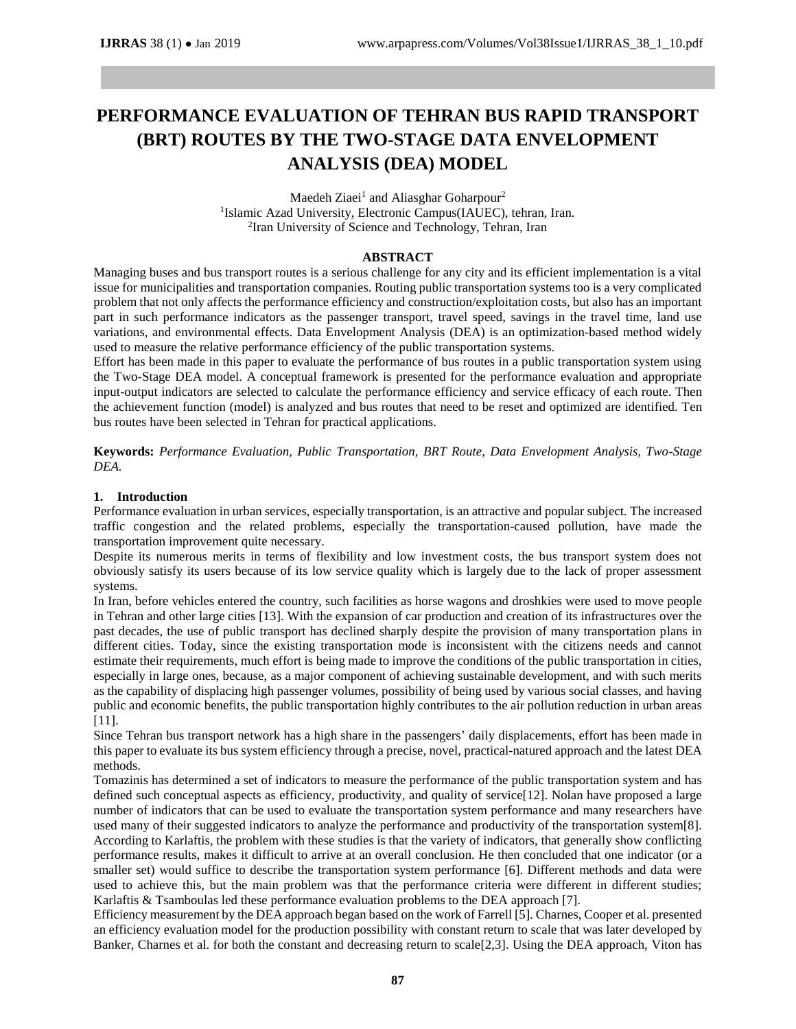# **PERFORMANCE EVALUATION OF TEHRAN BUS RAPID TRANSPORT (BRT) ROUTES BY THE TWO-STAGE DATA ENVELOPMENT ANALYSIS (DEA) MODEL**

Maedeh Ziaei<sup>1</sup> and Aliasghar Goharpour<sup>2</sup> <sup>1</sup>Islamic Azad University, Electronic Campus(IAUEC), tehran, Iran. 2 Iran University of Science and Technology, Tehran, Iran

### **ABSTRACT**

Managing buses and bus transport routes is a serious challenge for any city and its efficient implementation is a vital issue for municipalities and transportation companies. Routing public transportation systems too is a very complicated problem that not only affects the performance efficiency and construction/exploitation costs, but also has an important part in such performance indicators as the passenger transport, travel speed, savings in the travel time, land use variations, and environmental effects. Data Envelopment Analysis (DEA) is an optimization-based method widely used to measure the relative performance efficiency of the public transportation systems.

Effort has been made in this paper to evaluate the performance of bus routes in a public transportation system using the Two-Stage DEA model. A conceptual framework is presented for the performance evaluation and appropriate input-output indicators are selected to calculate the performance efficiency and service efficacy of each route. Then the achievement function (model) is analyzed and bus routes that need to be reset and optimized are identified. Ten bus routes have been selected in Tehran for practical applications.

**Keywords:** *Performance Evaluation, Public Transportation, BRT Route, Data Envelopment Analysis, Two-Stage DEA.*

### **1. Introduction**

Performance evaluation in urban services, especially transportation, is an attractive and popular subject. The increased traffic congestion and the related problems, especially the transportation-caused pollution, have made the transportation improvement quite necessary.

Despite its numerous merits in terms of flexibility and low investment costs, the bus transport system does not obviously satisfy its users because of its low service quality which is largely due to the lack of proper assessment systems.

In Iran, before vehicles entered the country, such facilities as horse wagons and droshkies were used to move people in Tehran and other large cities [13]. With the expansion of car production and creation of its infrastructures over the past decades, the use of public transport has declined sharply despite the provision of many transportation plans in different cities. Today, since the existing transportation mode is inconsistent with the citizens needs and cannot estimate their requirements, much effort is being made to improve the conditions of the public transportation in cities, especially in large ones, because, as a major component of achieving sustainable development, and with such merits as the capability of displacing high passenger volumes, possibility of being used by various social classes, and having public and economic benefits, the public transportation highly contributes to the air pollution reduction in urban areas [11].

Since Tehran bus transport network has a high share in the passengers' daily displacements, effort has been made in this paper to evaluate its bus system efficiency through a precise, novel, practical-natured approach and the latest DEA methods.

Tomazinis has determined a set of indicators to measure the performance of the public transportation system and has defined such conceptual aspects as efficiency, productivity, and quality of service[12]. Nolan have proposed a large number of indicators that can be used to evaluate the transportation system performance and many researchers have used many of their suggested indicators to analyze the performance and productivity of the transportation system[8]. According to Karlaftis, the problem with these studies is that the variety of indicators, that generally show conflicting performance results, makes it difficult to arrive at an overall conclusion. He then concluded that one indicator (or a smaller set) would suffice to describe the transportation system performance [6]. Different methods and data were used to achieve this, but the main problem was that the performance criteria were different in different studies; Karlaftis & Tsamboulas led these performance evaluation problems to the DEA approach [7].

Efficiency measurement by the DEA approach began based on the work of Farrell [5]. Charnes, Cooper et al. presented an efficiency evaluation model for the production possibility with constant return to scale that was later developed by Banker, Charnes et al. for both the constant and decreasing return to scale[2,3]. Using the DEA approach, Viton has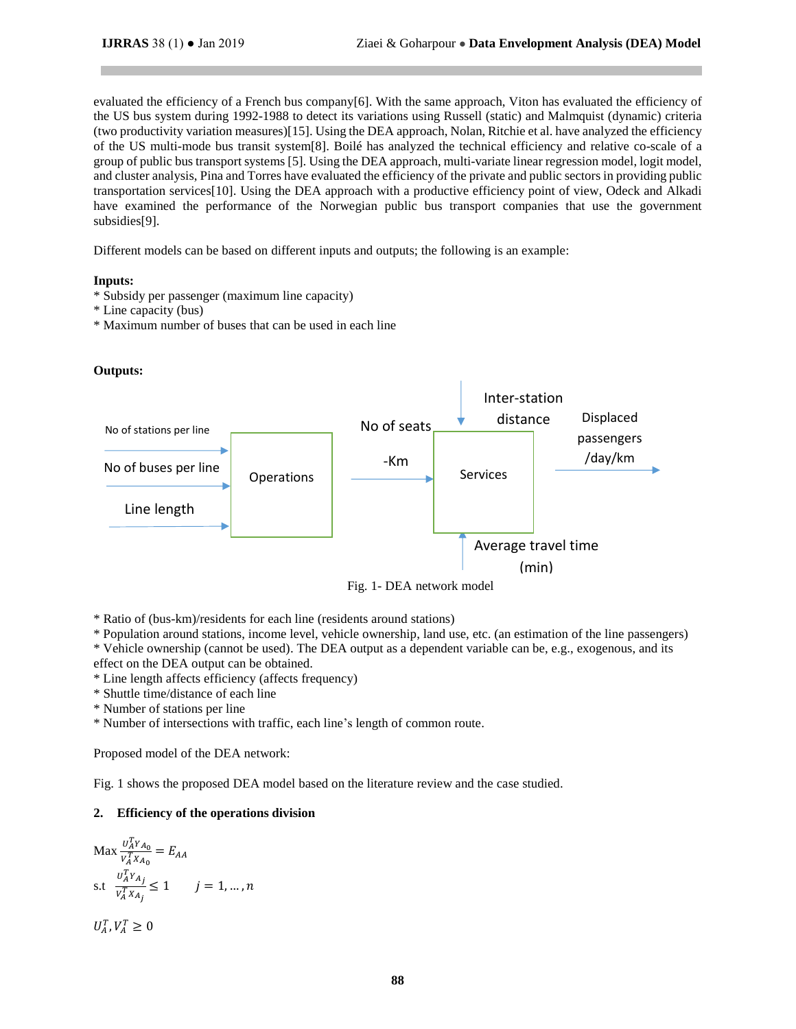evaluated the efficiency of a French bus company $[6]$ . With the same approach, Viton has evaluated the efficiency of the US bus system during 1992-1988 to detect its variations using Russell (static) and Malmquist (dynamic) criteria (two productivity variation measures)[15]. Using the DEA approach, Nolan, Ritchie et al. have analyzed the efficiency of the US multi-mode bus transit system[8]. Boilé has analyzed the technical efficiency and relative co-scale of a group of public bus transport systems [5]. Using the DEA approach, multi-variate linear regression model, logit model, and cluster analysis, Pina and Torres have evaluated the efficiency of the private and public sectors in providing public transportation services[10]. Using the DEA approach with a productive efficiency point of view, Odeck and Alkadi have examined the performance of the Norwegian public bus transport companies that use the government subsidies[9].

Different models can be based on different inputs and outputs; the following is an example:

## **Inputs:**

- \* Subsidy per passenger (maximum line capacity)
- \* Line capacity (bus)
- \* Maximum number of buses that can be used in each line

## **Outputs:**



Fig. 1- DEA network model

\* Ratio of (bus-km)/residents for each line (residents around stations)

\* Population around stations, income level, vehicle ownership, land use, etc. (an estimation of the line passengers) \* Vehicle ownership (cannot be used). The DEA output as a dependent variable can be, e.g., exogenous, and its

effect on the DEA output can be obtained.

\* Line length affects efficiency (affects frequency)

\* Shuttle time/distance of each line

\* Number of stations per line

\* Number of intersections with traffic, each line's length of common route.

Proposed model of the DEA network:

Fig. 1 shows the proposed DEA model based on the literature review and the case studied.

# **2. Efficiency of the operations division**

$$
\begin{aligned} \text{Max } & \frac{U_A^T Y_{A_0}}{V_A^T X_{A_0}} = E_{AA} \\ \text{s.t } & \frac{U_A^T Y_{A_j}}{V_A^T X_{A_j}} \le 1 \qquad j = 1, \dots, n \end{aligned}
$$

 $U_A^T, V_A^T \geq 0$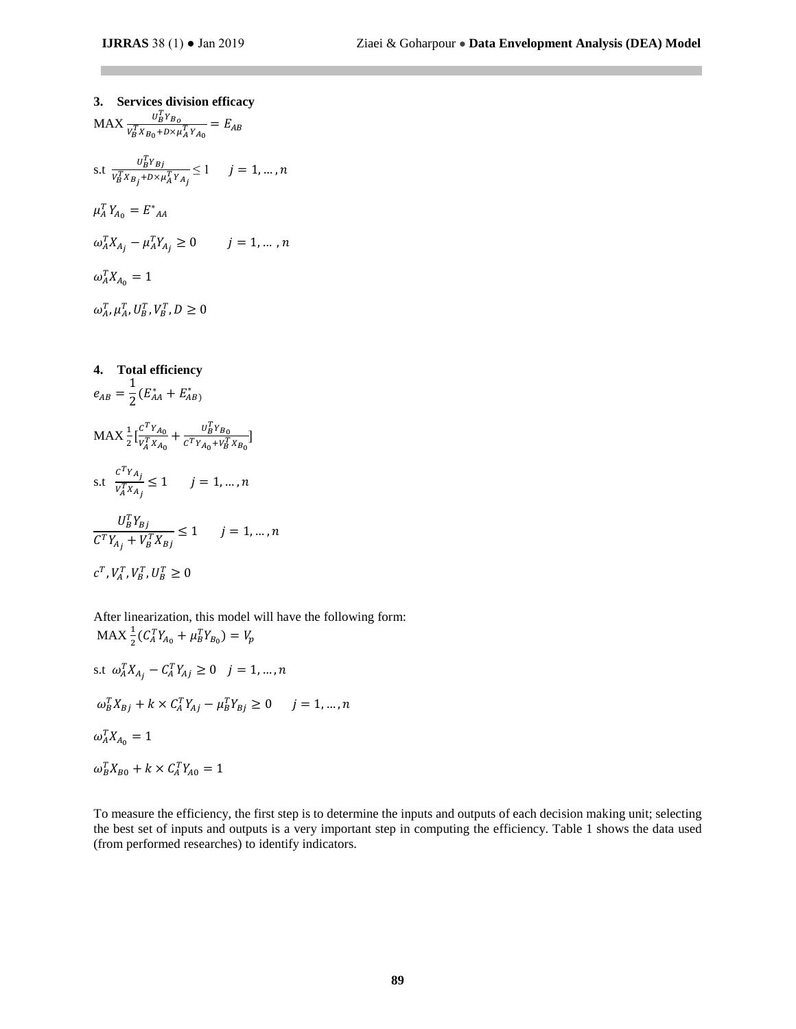**3. Services division efficacy**  $MAX \frac{U_B^T Y_{B_O}}{U_T U_{B_O}}$  $\frac{U_B + B_0}{V_B^T X_{B_0} + D \times \mu_A^T Y_{A_0}} = E_{AB}$ s.t  $\frac{U_B^T Y_{Bj}}{U_{Bj}^T Y_{Bj}}$  $\frac{U_{B}U_{B}}{V_{B}^{T}X_{B_{j}}+D\times\mu_{A}^{T}Y_{A_{j}}} \leq 1$   $j = 1, ..., n$  $\mu_A^T Y_{A_0} = E^*_{AA}$  $\omega_A^T X_{A_j} - \mu_A^T Y_{A_j} \ge 0$   $j = 1, ... , n$  $\omega_A^T X_{A_0} = 1$  $\omega_A^T, \mu_A^T, U_B^T, V_B^T, D \geq 0$ 

4. Total efficiency  
\n
$$
e_{AB} = \frac{1}{2} (E_{AA}^* + E_{AB}^*)
$$
\n
$$
MAX \frac{1}{2} [\frac{c^T Y_{A_0}}{V_A^T X_{A_0}} + \frac{U_B^T Y_{B_0}}{c^T Y_{A_0} + V_B^T X_{B_0}}]
$$
\n
$$
x.t. \frac{c^T Y_{A_j}}{V_A^T X_{A_j}} \le 1 \quad j = 1, ..., n
$$
\n
$$
\frac{U_B^T Y_{Bj}}{C^T Y_{A_j} + V_B^T X_{Bj}} \le 1 \quad j = 1, ..., n
$$
\n
$$
c^T, V_A^T, V_B^T, U_B^T \ge 0
$$

After linearization, this model will have the following form:  $\text{MAX} \frac{1}{2} (C_A^T Y_{A_0} + \mu_B^T Y_{B_0}) = V_p$ 

s.t 
$$
\omega_A^T X_{A_j} - C_A^T Y_{A_j} \ge 0
$$
  $j = 1, ..., n$   
\n $\omega_B^T X_{Bj} + k \times C_A^T Y_{Aj} - \mu_B^T Y_{Bj} \ge 0$   $j = 1, ..., n$   
\n $\omega_A^T X_{A_0} = 1$   
\n $\omega_B^T X_{B0} + k \times C_A^T Y_{A0} = 1$ 

To measure the efficiency, the first step is to determine the inputs and outputs of each decision making unit; selecting the best set of inputs and outputs is a very important step in computing the efficiency. Table 1 shows the data used (from performed researches) to identify indicators.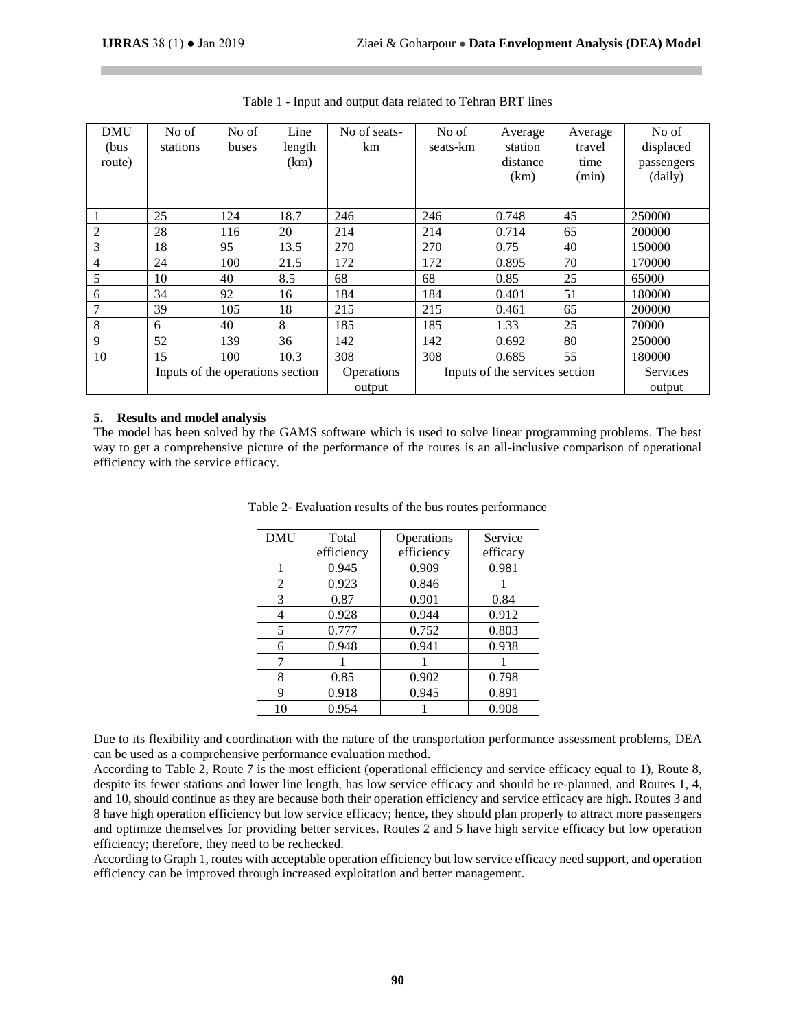| <b>DMU</b><br>(bus<br>route) | No of<br>stations                | No of<br>buses | Line<br>length<br>(km) | No of seats-<br>km   | No of<br>seats-km              | Average<br>station<br>distance<br>(km) | Average<br>travel<br>time<br>(min) | No of<br>displaced<br>passengers<br>(daily) |
|------------------------------|----------------------------------|----------------|------------------------|----------------------|--------------------------------|----------------------------------------|------------------------------------|---------------------------------------------|
| 1                            | 25                               | 124            | 18.7                   | 246                  | 246                            | 0.748                                  | 45                                 | 250000                                      |
| 2                            | 28                               | 116            | 20                     | 214                  | 214                            | 0.714                                  | 65                                 | 200000                                      |
| 3                            | 18                               | 95             | 13.5                   | 270                  | 270                            | 0.75                                   | 40                                 | 150000                                      |
| 4                            | 24                               | 100            | 21.5                   | 172                  | 172                            | 0.895                                  | 70                                 | 170000                                      |
| 5                            | 10                               | 40             | 8.5                    | 68                   | 68                             | 0.85                                   | 25                                 | 65000                                       |
| 6                            | 34                               | 92             | 16                     | 184                  | 184                            | 0.401                                  | 51                                 | 180000                                      |
| 7                            | 39                               | 105            | 18                     | 215                  | 215                            | 0.461                                  | 65                                 | 200000                                      |
| 8                            | 6                                | 40             | 8                      | 185                  | 185                            | 1.33                                   | 25                                 | 70000                                       |
| 9                            | 52                               | 139            | 36                     | 142                  | 142                            | 0.692                                  | 80                                 | 250000                                      |
| 10                           | 15                               | 100            | 10.3                   | 308                  | 308                            | 0.685                                  | 55                                 | 180000                                      |
|                              | Inputs of the operations section |                |                        | Operations<br>output | Inputs of the services section |                                        |                                    | <b>Services</b><br>output                   |

Table 1 - Input and output data related to Tehran BRT lines

### **5. Results and model analysis**

The model has been solved by the GAMS software which is used to solve linear programming problems. The best way to get a comprehensive picture of the performance of the routes is an all-inclusive comparison of operational efficiency with the service efficacy.

| <b>DMU</b> | Total      | Operations | Service  |  |
|------------|------------|------------|----------|--|
|            | efficiency | efficiency | efficacy |  |
|            | 0.945      | 0.909      | 0.981    |  |
| 2          | 0.923      | 0.846      |          |  |
| 3          | 0.87       | 0.901      | 0.84     |  |
| 4          | 0.928      | 0.944      | 0.912    |  |
| 5          | 0.777      | 0.752      | 0.803    |  |
| 6          | 0.948      | 0.941      | 0.938    |  |
| 7          |            |            |          |  |
| 8          | 0.85       | 0.902      | 0.798    |  |
| 9          | 0.918      | 0.945      | 0.891    |  |
| 10         | 0.954      |            | 0.908    |  |

Table 2- Evaluation results of the bus routes performance

Due to its flexibility and coordination with the nature of the transportation performance assessment problems, DEA can be used as a comprehensive performance evaluation method.

According to Table 2, Route 7 is the most efficient (operational efficiency and service efficacy equal to 1), Route 8, despite its fewer stations and lower line length, has low service efficacy and should be re-planned, and Routes 1, 4, and 10, should continue as they are because both their operation efficiency and service efficacy are high. Routes 3 and 8 have high operation efficiency but low service efficacy; hence, they should plan properly to attract more passengers and optimize themselves for providing better services. Routes 2 and 5 have high service efficacy but low operation efficiency; therefore, they need to be rechecked.

According to Graph 1, routes with acceptable operation efficiency but low service efficacy need support, and operation efficiency can be improved through increased exploitation and better management.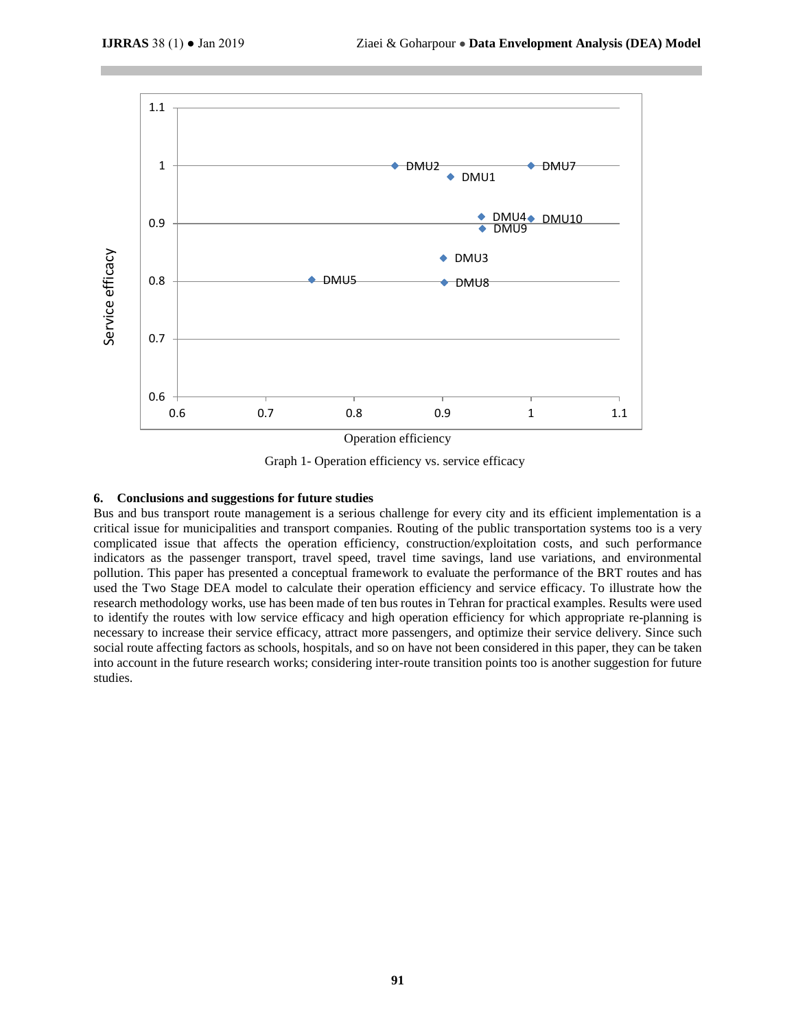

Graph 1- Operation efficiency vs. service efficacy

## **6. Conclusions and suggestions for future studies**

Bus and bus transport route management is a serious challenge for every city and its efficient implementation is a critical issue for municipalities and transport companies. Routing of the public transportation systems too is a very complicated issue that affects the operation efficiency, construction/exploitation costs, and such performance indicators as the passenger transport, travel speed, travel time savings, land use variations, and environmental pollution. This paper has presented a conceptual framework to evaluate the performance of the BRT routes and has used the Two Stage DEA model to calculate their operation efficiency and service efficacy. To illustrate how the research methodology works, use has been made of ten bus routes in Tehran for practical examples. Results were used to identify the routes with low service efficacy and high operation efficiency for which appropriate re-planning is necessary to increase their service efficacy, attract more passengers, and optimize their service delivery. Since such social route affecting factors as schools, hospitals, and so on have not been considered in this paper, they can be taken into account in the future research works; considering inter-route transition points too is another suggestion for future studies.